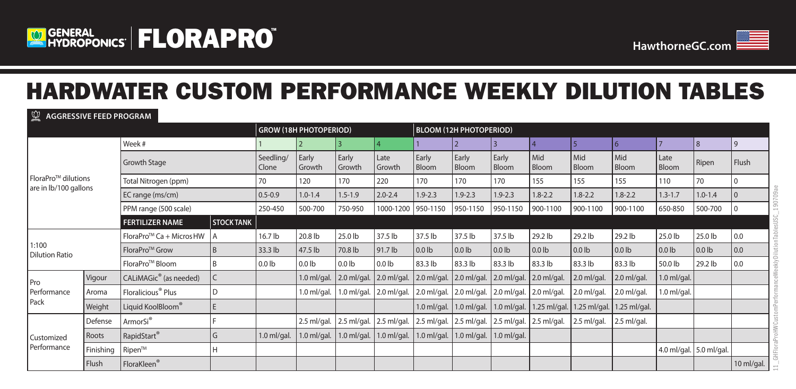



# HARDWATER CUSTOM PERFORMANCE WEEKLY DILUTION TABLES

**AGGRESSIVE FEED PROGRAM**

|                                              |           | <b>GROW (18H PHOTOPERIOD)</b>        |                   |                    |                   |                   | <b>BLOOM (12H PHOTOPERIOD)</b> |                   |                   |                   |                     |                       |                     |                      |                         |                |
|----------------------------------------------|-----------|--------------------------------------|-------------------|--------------------|-------------------|-------------------|--------------------------------|-------------------|-------------------|-------------------|---------------------|-----------------------|---------------------|----------------------|-------------------------|----------------|
| FloraPro™ dilutions<br>are in lb/100 gallons |           | Week #                               |                   |                    | 12                | 13                | $\vert 4 \vert$                |                   |                   |                   | 14                  | $\overline{5}$        | l 6                 |                      | 18                      | 9              |
|                                              |           | Growth Stage                         |                   | Seedling/<br>Clone | Early<br>Growth   | Early<br>Growth   | Late<br>Growth                 | Early<br>Bloom    | Early<br>Bloom    | Early<br>Bloom    | l Mid<br>Bloom      | Mid<br>Bloom          | Mid<br><b>Bloom</b> | Late<br><b>Bloom</b> | Ripen                   | Flush          |
|                                              |           | Total Nitrogen (ppm)                 |                   | 70                 | 120               | 170               | 220                            | 170               | 170               | 170               | 155                 | 155                   | 155                 | 110                  | 70                      | 0              |
|                                              |           | EC range (ms/cm)                     |                   | $0.5 - 0.9$        | $1.0 - 1.4$       | $1.5 - 1.9$       | $2.0 - 2.4$                    | $1.9 - 2.3$       | $1.9 - 2.3$       | $1.9 - 2.3$       | $1.8 - 2.2$         | $1.8 - 2.2$           | $1.8 - 2.2$         | $1.3 - 1.7$          | $1.0 - 1.4$             | $\overline{0}$ |
|                                              |           | PPM range (500 scale)                |                   | 250-450            | 500-700           | 750-950           | 1000-1200                      | $950 - 1150$      | 950-1150          | 950-1150          | 900-1100            | 900-1100              | 900-1100            | 650-850              | 500-700                 | 10             |
|                                              |           | <b>FERTILIZER NAME</b>               | <b>STOCK TANK</b> |                    |                   |                   |                                |                   |                   |                   |                     |                       |                     |                      |                         |                |
|                                              |           | FloraPro <sup>™</sup> Ca + Micros HW | A                 | 16.7 lb            | 20.8 lb           | 25.0 lb           | 37.5 lb                        | 37.5 lb           | 37.5 lb           | 37.5 lb           | 29.2 lb             | 29.2 lb               | 29.2 lb             | 25.0 lb              | 25.0 lb                 | 0.0            |
| 1:100<br><b>Dilution Ratio</b>               |           | FloraPro <sup>™</sup> Grow           | B                 | 33.3 lb            | 47.5 lb           | 70.8 lb           | 91.7 lb                        | 0.0 <sub>lb</sub> | 0.0 <sub>lb</sub> | 0.0 <sub>lb</sub> | $0.0$ lb            | $0.0$ lb              | 0.0 <sub>lb</sub>   | $0.0$ lb             | $0.0$ lb                | 0.0            |
|                                              |           | FloraPro <sup>™</sup> Bloom          | B                 | 0.0 <sub>lb</sub>  | 0.01 <sub>b</sub> | 0.0 <sub>lb</sub> | $0.0$ lb                       | 83.3 lb           | 83.3 lb           | 83.3 lb           | 83.3 lb             | 83.3 lb               | 83.3 lb             | 50.0 lb              | 29.2 lb                 | 0.0            |
| Pro                                          | Vigour    | CALIMAGic <sup>®</sup> (as needed)   | $\mathsf C$       |                    | $1.0$ ml/gal.     | 2.0 ml/gal.       | 2.0 ml/gal.                    | $2.0$ ml/gal.     | $2.0$ ml/gal.     | 2.0 ml/gal.       | $2.0$ ml/gal.       | 2.0 ml/gal.           | $2.0$ ml/gal.       | $1.0$ ml/gal.        |                         |                |
| Performance                                  | Aroma     | Floralicious <sup>®</sup> Plus       | D                 |                    | $1.0$ ml/gal.     | $1.0$ ml/gal.     | 2.0 ml/gal.                    | $2.0$ ml/gal.     | 2.0 ml/gal.       | 2.0 ml/gal.       | $2.0$ ml/gal.       | 2.0 ml/gal.           | $2.0$ ml/gal.       | $1.0$ ml/gal.        |                         |                |
| Pack                                         | Weight    | Liquid KoolBloom®                    | E                 |                    |                   |                   |                                | $1.0$ ml/gal.     | $1.0$ ml/gal.     | $1.0$ ml/gal.     | 1.25 ml/gal.        | $.25 \text{ ml/gal.}$ | $1.25$ ml/gal.      |                      |                         |                |
|                                              | Defense   | ArmorSi®                             |                   |                    | $2.5$ ml/gal.     | 2.5 ml/gal.       | 2.5 ml/gal.                    | 2.5 ml/gal.       | $2.5$ ml/gal.     | $2.5$ ml/gal.     | $\vert$ 2.5 ml/gal. | 2.5 ml/gal.           | $2.5$ ml/gal.       |                      |                         |                |
| Customized<br>Performance                    | Roots     | RapidStart®                          | G                 | $1.0$ ml/gal.      | $1.0$ ml/gal.     | $1.0$ ml/gal.     | $1.0$ ml/gal.                  | $1.0$ ml/gal.     | $1.0$ ml/gal.     | $1.0$ ml/gal.     |                     |                       |                     |                      |                         |                |
|                                              | Finishing | Ripen™                               | H                 |                    |                   |                   |                                |                   |                   |                   |                     |                       |                     |                      | 4.0 ml/gal. 5.0 ml/gal. |                |
|                                              | Flush     | FloraKleen <sup>®</sup>              |                   |                    |                   |                   |                                |                   |                   |                   |                     |                       |                     |                      |                         | 10 ml/gal.     |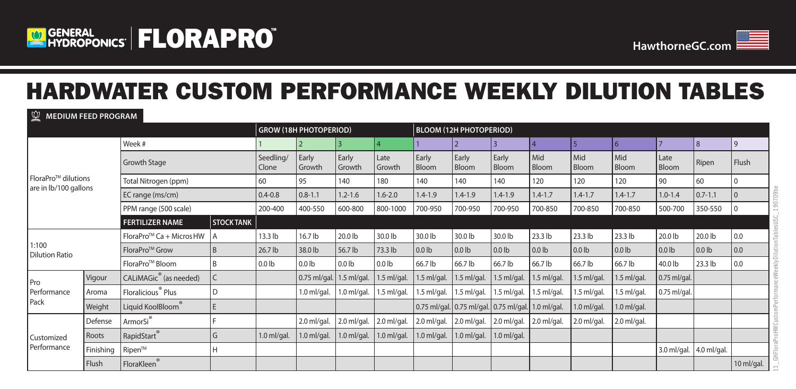



# HARDWATER CUSTOM PERFORMANCE WEEKLY DILUTION TABLES

### **MEDIUM FEED PROGRAM**

|                                  |           |                                      |                   |                    | <b>GROW (18H PHOTOPERIOD)</b> |                   |                   | <b>BLOOM (12H PHOTOPERIOD)</b> |                   |                                                    |                   |               |                |                |               |                  |  |
|----------------------------------|-----------|--------------------------------------|-------------------|--------------------|-------------------------------|-------------------|-------------------|--------------------------------|-------------------|----------------------------------------------------|-------------------|---------------|----------------|----------------|---------------|------------------|--|
|                                  |           | Week #                               |                   |                    |                               | 3                 |                   |                                |                   |                                                    |                   | 15            | 16             |                | 18            | 9                |  |
|                                  |           | <b>Growth Stage</b>                  |                   | Seedling/<br>Clone | Early<br>Growth               | Early<br>Growth   | Late<br>Growth    | Early<br>Bloom                 | Early<br>Bloom    | Early<br>Bloom                                     | Mid<br>Bloom      | Mid<br>Bloom  | l Mid<br>Bloom | Late<br>Bloom  | Ripen         | Flush            |  |
| FloraPro <sup>TM</sup> dilutions |           | Total Nitrogen (ppm)                 |                   | 60                 | 95                            | 140               | 180               | 140                            | 140               | 140                                                | 120               | 120           | 120            | 90             | 60            | $\overline{0}$   |  |
| are in lb/100 gallons            |           | EC range (ms/cm)                     |                   | $0.4 - 0.8$        | $0.8 - 1.1$                   | $1.2 - 1.6$       | $1.6 - 2.0$       | $1.4 - 1.9$                    | $1.4 - 1.9$       | $1.4 - 1.9$                                        | $1.4 - 1.7$       | $1.4 - 1.7$   | $1.4 - 1.7$    | $1.0 - 1.4$    | $0.7 - 1.1$   | $\overline{0}$   |  |
|                                  |           | PPM range (500 scale)                |                   | 200-400            | 400-550                       | 600-800           | 800-1000          | 700-950                        | 700-950           | 700-950                                            | 700-850           | 700-850       | 700-850        | 500-700        | 350-550       | $\overline{0}$   |  |
|                                  |           | <b>FERTILIZER NAME</b>               | <b>STOCK TANK</b> |                    |                               |                   |                   |                                |                   |                                                    |                   |               |                |                |               |                  |  |
|                                  |           | FloraPro <sup>™</sup> Ca + Micros HW | A                 | 13.3 lb            | 16.7 lb                       | 20.0 lb           | 30.0 lb           | 30.0 lb                        | 30.0 lb           | 30.0 lb                                            | $23.3$ lb         | $23.3$ lb     | 23.3 lb        | 20.0 lb        | 20.0 lb       | 0.0              |  |
| 1:100<br><b>Dilution Ratio</b>   |           | FloraPro <sup>™</sup> Grow           | B                 | 26.7 lb            | 38.0 lb                       | 56.7 lb           | 73.3 lb           | $0.0$ lb                       | 0.0 <sub>lb</sub> | 0.0 <sub>lb</sub>                                  | 0.01 <sub>b</sub> | $0.0$ lb      | $\vert$ 0.0 lb | $0.0$ lb       | $0.0$ lb      | $\overline{0.0}$ |  |
|                                  |           | FloraPro <sup>™</sup> Bloom          | B                 | $0.0$ lb           | 0.01 <sub>b</sub>             | 0.0 <sub>lb</sub> | 0.0 <sub>1b</sub> | 66.7 lb                        | 66.7 lb           | 66.7 lb                                            | 66.7 lb           | 66.7 lb       | 66.7 lb        | 40.0 lb        | 23.3 lb       | 0.0              |  |
| Pro                              | Vigour    | CALIMAGic <sup>®</sup> (as needed)   | $\mathsf C$       |                    | 0.75 ml/gal.                  | $1.5$ ml/gal.     | $1.5$ ml/gal.     | $1.5$ ml/gal.                  | $1.5$ ml/gal.     | $1.5$ ml/gal.                                      | $1.5$ ml/gal.     | $1.5$ ml/gal. | $1.5$ ml/gal.  | 0.75 ml/gal.   |               |                  |  |
| Performance                      | Aroma     | Floralicious <sup>®</sup> Plus       | D                 |                    | $1.0$ ml/gal.                 | $1.0$ ml/gal.     | $1.5$ ml/gal.     | .5 ml/gal.                     | 1.5 ml/gal.       | .5 ml/gal.                                         | 1.5 ml/gal.       | 1.5 ml/gal    | $1.5$ ml/gal.  | $0.75$ ml/gal. |               |                  |  |
| Pack                             | Weight    | Liquid KoolBloom®                    | E                 |                    |                               |                   |                   |                                |                   | 0.75 ml/gal. 0.75 ml/gal. 0.75 ml/gal. 1.0 ml/gal. |                   | $1.0$ ml/gal. | $1.0$ ml/gal.  |                |               |                  |  |
|                                  | Defense   | ArmorSi®                             |                   |                    | 2.0 ml/gal.                   | 2.0 ml/gal.       | 2.0 ml/gal.       | 2.0 ml/gal.                    | 2.0 ml/gal.       | $2.0$ ml/gal.                                      | 2.0 ml/gal.       | 2.0 ml/gal.   | $2.0$ ml/gal.  |                |               |                  |  |
| Customized<br>Performance        | Roots     | RapidStart                           | G                 | $1.0$ ml/gal.      | $1.0$ ml/gal.                 | $1.0$ ml/gal.     | $1.0$ ml/gal.     | $1.0$ ml/gal.                  | $1.0$ ml/gal.     | $1.0$ ml/gal.                                      |                   |               |                |                |               |                  |  |
|                                  | Finishing | Ripen™                               | Н                 |                    |                               |                   |                   |                                |                   |                                                    |                   |               |                | 3.0 ml/gal.    | $4.0$ ml/gal. |                  |  |
|                                  | Flush     | FloraKleen                           |                   |                    |                               |                   |                   |                                |                   |                                                    |                   |               |                |                |               | 10 ml/gal.       |  |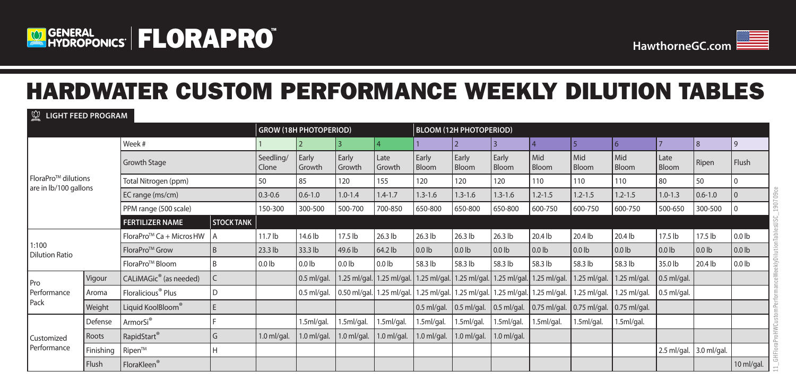



11\_GHFloraProHWCustomPerformanceWeeklyDilutionTablesUSC\_190709ce

eWe

GHFloraProHWCustomP

eeklyDilutionTablesUS

190709ce

# HARDWATER CUSTOM PERFORMANCE WEEKLY DILUTION TABLES

**LIGHT FEED PROGRAM**

|                                              |           |                                      |                   |                    | <b>GROW (18H PHOTOPERIOD)</b> |                   |                                        |                | <b>BLOOM (12H PHOTOPERIOD)</b> |                     |                           |                |                      |                   |                   |                   |  |  |
|----------------------------------------------|-----------|--------------------------------------|-------------------|--------------------|-------------------------------|-------------------|----------------------------------------|----------------|--------------------------------|---------------------|---------------------------|----------------|----------------------|-------------------|-------------------|-------------------|--|--|
| FloraPro™ dilutions<br>are in lb/100 gallons |           | Week #                               |                   |                    |                               | 13                | 4                                      |                | $\overline{2}$                 | 13                  |                           | $\sqrt{5}$     | 6                    | $\overline{7}$    | 8                 | 9                 |  |  |
|                                              |           | Growth Stage                         |                   | Seedling/<br>Clone | Early<br>Growth               | Early<br>Growth   | Late<br>Growth                         | Early<br>Bloom | Early<br>Bloom                 | Early<br>Bloom      | l Mid<br><b>Bloom</b>     | Mid<br>Bloom   | Mid<br>Bloom         | Late<br>Bloom     | Ripen             | Flush             |  |  |
|                                              |           | Total Nitrogen (ppm)                 |                   | 50                 | 85                            | 120               | 155                                    | 120            | 120                            | 120                 | 110                       | 110            | 110                  | 80                | 50                |                   |  |  |
|                                              |           | EC range (ms/cm)                     |                   | $0.3 - 0.6$        | $0.6 - 1.0$                   | $1.0 - 1.4$       | $1.4 - 1.7$                            | $1.3 - 1.6$    | $1.3 - 1.6$                    | $1.3 - 1.6$         | $1.2 - 1.5$               | $1.2 - 1.5$    | $1.2 - 1.5$          | $1.0 - 1.3$       | $0.6 - 1.0$       | $\overline{0}$    |  |  |
|                                              |           | PPM range (500 scale)                |                   | 150-300            | 300-500                       | 500-700           | 700-850                                | 650-800        | 650-800                        | 650-800             | 600-750                   | 600-750        | 600-750              | 500-650           | 300-500           |                   |  |  |
|                                              |           | <b>FERTILIZER NAME</b>               | <b>STOCK TANK</b> |                    |                               |                   |                                        |                |                                |                     |                           |                |                      |                   |                   |                   |  |  |
|                                              |           | FloraPro <sup>™</sup> Ca + Micros HW | A                 | 11.7 <sub>lb</sub> | 14.6 lb                       | 17.5 lb           | 26.3 lb                                | 26.3 lb        | 26.3 lb                        | 26.3 lb             | 20.4 lb                   | 20.4 lb        | 20.4 lb              | 17.5 lb           | 17.5 lb           | 0.0 <sub>lb</sub> |  |  |
| 1:100<br><b>Dilution Ratio</b>               |           | FloraPro <sup>™</sup> Grow           | B                 | $23.3$ lb          | 33.3 lb                       | 49.6 lb           | 64.2 lb                                | $0.0$ lb       | 0.0 <sub>lb</sub>              | $0.0$ lb            | 0.01 <sub>b</sub>         | $0.0$ lb       | $0.0$ lb             | 0.0 <sub>lb</sub> | 0.0 <sub>lb</sub> | 0.0 <sub>lb</sub> |  |  |
|                                              |           | FloraPro <sup>™</sup> Bloom          | <sub>B</sub>      | $0.0$ lb           | 0.0 <sub>lb</sub>             | 0.0 <sub>lb</sub> | $0.0$ lb                               | 58.3 lb        | 58.3 lb                        | 58.3 lb             | 58.3 lb                   | 58.3 lb        | 58.3 lb              | 35.0 lb           | 20.4 lb           | 0.0 <sub>lb</sub> |  |  |
| Pro                                          | Vigour    | CALIMAGic <sup>®</sup> (as needed)   | $\mathsf{C}$      |                    | $0.5$ ml/gal.                 |                   | 1.25 ml/gal. 1.25 ml/gal. 1.25 ml/gal. |                | 1.25 ml/gal.                   |                     | 1.25 ml/gal. 1.25 ml/gal. | 1.25 ml/gal.   | 1.25 ml/gal.         | $0.5$ ml/gal.     |                   |                   |  |  |
| Performance                                  | Aroma     | Floralicious <sup>®</sup> Plus       | D                 |                    | $0.5$ ml/gal.                 |                   | 0.50 ml/gal. 1.25 ml/gal. 1.25 ml/gal. |                | 1.25 ml/gal.                   |                     | 1.25 ml/gal. 1.25 ml/gal. | 1.25 ml/gal.   | 1.25 ml/gal.         | $0.5$ ml/gal.     |                   |                   |  |  |
| Pack                                         | Weight    | Liquid KoolBloom®                    | E                 |                    |                               |                   |                                        | $0.5$ ml/gal.  | $0.5$ ml/gal.                  | $\vert$ 0.5 ml/gal. | $\vert$ 0.75 ml/gal.      | $0.75$ ml/gal. | $\vert$ 0.75 ml/gal. |                   |                   |                   |  |  |
| Customized<br>Performance                    | Defense   | ArmorSi®                             |                   |                    | 1.5ml/gal.                    | 1.5ml/gal.        | 1.5ml/gal.                             | 1.5ml/gal.     | 1.5ml/gal.                     | 1.5ml/gal.          | 1.5ml/gal.                | 1.5ml/gal.     | 1.5ml/gal.           |                   |                   |                   |  |  |
|                                              | Roots     | RapidStart®                          | G                 | $1.0$ ml/gal.      | $1.0$ ml/gal.                 | $1.0$ ml/gal.     | $1.0$ ml/gal.                          | $1.0$ ml/gal.  | $1.0$ ml/gal.                  | $1.0$ ml/gal.       |                           |                |                      |                   |                   |                   |  |  |
|                                              | Finishing | Ripen™                               |                   |                    |                               |                   |                                        |                |                                |                     |                           |                |                      | $2.5$ ml/gal.     | 3.0 ml/gal.       |                   |  |  |
|                                              | Flush     | FloraKleen <sup>®</sup>              |                   |                    |                               |                   |                                        |                |                                |                     |                           |                |                      |                   |                   | 10 ml/gal.        |  |  |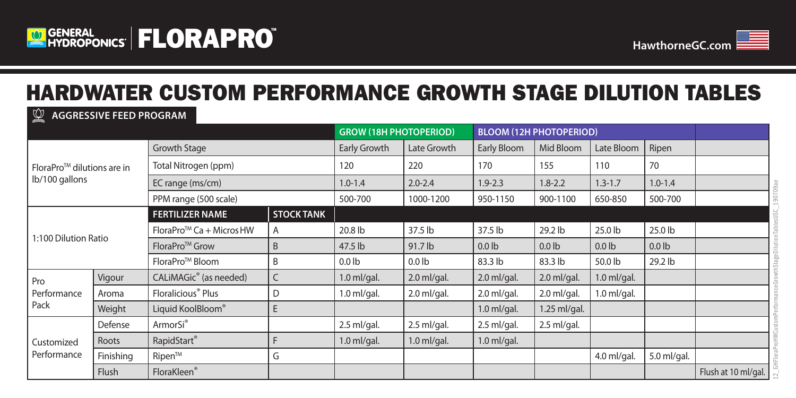



## HARDWATER CUSTOM PERFORMANCE GROWTH STAGE DILUTION TABLES

### **GROW (18H PHOTOPERIOD) BLOOM (12H PHOTOPERIOD)** FloraProTM dilutions are in lb/100 gallons Growth Stage Early Growth Late Growth Early Bloom Mid Bloom Late Bloom Ripen Total Nitrogen (ppm) 120 120 220 170 175 110 70 EC range (ms/cm) 1.0-1.4 2.0-2.4 1.9-2.3 1.8-2.2 1.3-1.7 1.0-1.4 PPM range (500 scale) 600-700 1000-1200 950-1150 900-1100 650-850 900-700 1:100 Dilution Ratio **FERTILIZER NAME STOCK TANK** FloraPro<sup>TM</sup> Ca + MicrosHW  $\begin{vmatrix} 1 & 2 & 20.8 \end{vmatrix}$  and  $\begin{vmatrix} 37.5 \end{vmatrix}$  and  $\begin{vmatrix} 37.5 \end{vmatrix}$  and  $\begin{vmatrix} 37.5 \end{vmatrix}$  and  $\begin{vmatrix} 29.2 \end{vmatrix}$  and  $\begin{vmatrix} 25.0 \end{vmatrix}$  and  $\begin{vmatrix} 25.0 \end{vmatrix}$ FloraProTM Grow B 47.5 lb 91.7 lb 0.0 lb 0.0 lb 0.0 lb 0.0 lb FloraProTM Bloom B 0.0 lb 0.0 lb 83.3 lb 83.3 lb 50.0 lb 29.2 lb Pro Performance Pack Vigour  $\vert$  CALiMAGic® (as needed)  $\vert$  C  $\vert$  1.0 ml/gal.  $\vert$  2.0 ml/gal.  $\vert$  2.0 ml/gal.  $\vert$  2.0 ml/gal.  $\vert$  1.0 ml/gal. Aroma | Floralicious® Plus | D | 1.0 ml/gal. | 2.0 ml/gal. | 2.0 ml/gal. | 2.0 ml/gal. | 2.0 ml/gal. | 1.0 ml/gal. Weight Liquid KoolBloom® E 1.0 ml/gal. 1.25 ml/gal. 1.25 ml/gal. **Customized** Performance Defense ArmorSi® 2.5 ml/gal. 2.5 ml/gal. 2.5 ml/gal. 2.5 ml/gal. Roots RapidStart® F 1.0 ml/gal. 1.0 ml/gal. 1.0 ml/gal. Finishing RipenTM G 4.0 ml/gal. 5.0 ml/gal. Flush FloraKleen® Flush at 10 ml/gal. **AGGRESSIVE FEED PROGRAM**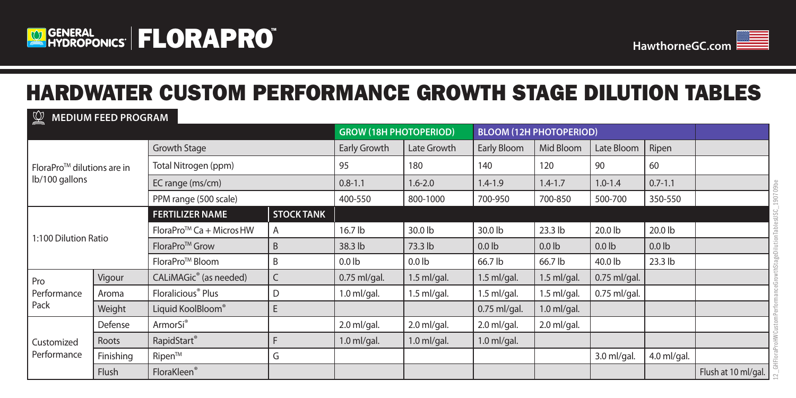



## HARDWATER CUSTOM PERFORMANCE GROWTH STAGE DILUTION TABLES

#### $\mathbb{C}$ **MEDIUM FEED PROGRAM**

|                                        |           |                                      |                   | <b>GROW (18H PHOTOPERIOD)</b> |               | <b>BLOOM (12H PHOTOPERIOD)</b> |                   |                |             |                     |
|----------------------------------------|-----------|--------------------------------------|-------------------|-------------------------------|---------------|--------------------------------|-------------------|----------------|-------------|---------------------|
| FloraPro <sup>™</sup> dilutions are in |           | Growth Stage                         | Early Growth      | Late Growth                   | Early Bloom   | Mid Bloom                      | Late Bloom        | Ripen          |             |                     |
|                                        |           | Total Nitrogen (ppm)                 | 95                | 180                           | 140           | 120                            | 90                | 60             |             |                     |
| lb/100 gallons                         |           | EC range (ms/cm)                     | $0.8 - 1.1$       | $1.6 - 2.0$                   | $1.4 - 1.9$   | $1.4 - 1.7$                    | $1.0 - 1.4$       | $0.7 - 1.1$    |             |                     |
|                                        |           | PPM range (500 scale)                | 400-550           | 800-1000                      | 700-950       | 700-850                        | 500-700           | 350-550        |             |                     |
|                                        |           | <b>FERTILIZER NAME</b>               | <b>STOCK TANK</b> |                               |               |                                |                   |                |             |                     |
|                                        |           | FloraPro <sup>™</sup> Ca + Micros HW | A                 | 16.7 lb                       | 30.0 lb       | 30.0 lb                        | $23.3$ lb         | 20.0 lb        | 20.0 lb     |                     |
| 1:100 Dilution Ratio                   |           | FloraPro <sup>™</sup> Grow           | B                 | 38.3 lb                       | 73.3 lb       | 0.0 <sub>1b</sub>              | 0.0 <sub>1b</sub> | $0.0$ lb       | $0.0$ lb    |                     |
|                                        |           | FloraPro <sup>™</sup> Bloom          | B                 | 0.0 <sub>lb</sub>             | $0.0$ lb      | 66.7 lb                        | 66.7 lb           | 40.0 lb        | $23.3$ lb   |                     |
| Pro                                    | Vigour    | CALIMAGic <sup>®</sup> (as needed)   | C                 | 0.75 ml/gal.                  | $1.5$ ml/gal. | $1.5$ ml/gal.                  | $1.5$ ml/gal.     | $0.75$ ml/gal. |             |                     |
| Performance                            | Aroma     | Floralicious <sup>®</sup> Plus       | D                 | $1.0$ ml/gal.                 | $1.5$ ml/gal. | $1.5$ ml/gal.                  | $1.5$ ml/gal.     | $0.75$ ml/gal. |             |                     |
| Pack                                   | Weight    | Liquid KoolBloom®                    | E.                |                               |               | 0.75 ml/gal.                   | $1.0$ ml/gal.     |                |             |                     |
|                                        | Defense   | ArmorSi <sup>®</sup>                 |                   | 2.0 ml/gal.                   | $2.0$ ml/gal. | $2.0$ ml/gal.                  | $2.0$ ml/gal.     |                |             |                     |
| Customized                             | Roots     | RapidStart®                          |                   | $1.0$ ml/gal.                 | $1.0$ ml/gal. | $1.0$ ml/gal.                  |                   |                |             |                     |
| Performance                            | Finishing | Ripen™                               | G                 |                               |               |                                |                   | 3.0 ml/gal.    | 4.0 ml/gal. |                     |
|                                        | Flush     | FloraKleen®                          |                   |                               |               |                                |                   |                |             | Flush at 10 ml/gal. |